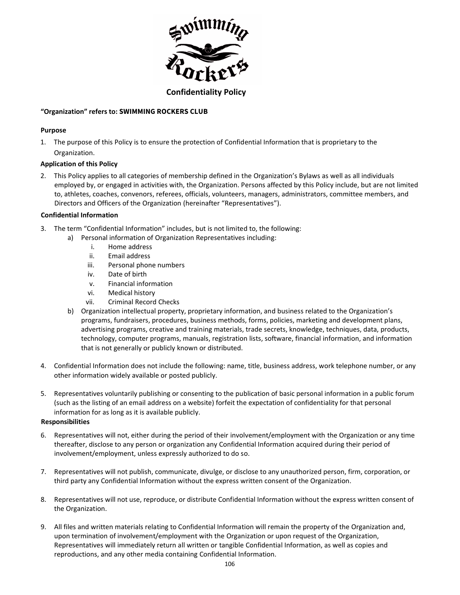

# **"Organization" refers to: SWIMMING ROCKERS CLUB**

## **Purpose**

1. The purpose of this Policy is to ensure the protection of Confidential Information that is proprietary to the Organization.

#### **Application of this Policy**

2. This Policy applies to all categories of membership defined in the Organization's Bylaws as well as all individuals employed by, or engaged in activities with, the Organization. Persons affected by this Policy include, but are not limited to, athletes, coaches, convenors, referees, officials, volunteers, managers, administrators, committee members, and Directors and Officers of the Organization (hereinafter "Representatives").

# **Confidential Information**

- 3. The term "Confidential Information" includes, but is not limited to, the following:
	- a) Personal information of Organization Representatives including:
		- i. Home address
		- ii. Email address
		- iii. Personal phone numbers
		- iv. Date of birth
		- v. Financial information
		- vi. Medical history
		- vii. Criminal Record Checks
	- b) Organization intellectual property, proprietary information, and business related to the Organization's programs, fundraisers, procedures, business methods, forms, policies, marketing and development plans, advertising programs, creative and training materials, trade secrets, knowledge, techniques, data, products, technology, computer programs, manuals, registration lists, software, financial information, and information that is not generally or publicly known or distributed.
- 4. Confidential Information does not include the following: name, title, business address, work telephone number, or any other information widely available or posted publicly.
- 5. Representatives voluntarily publishing or consenting to the publication of basic personal information in a public forum (such as the listing of an email address on a website) forfeit the expectation of confidentiality for that personal information for as long as it is available publicly.

#### **Responsibilities**

- 6. Representatives will not, either during the period of their involvement/employment with the Organization or any time thereafter, disclose to any person or organization any Confidential Information acquired during their period of involvement/employment, unless expressly authorized to do so.
- 7. Representatives will not publish, communicate, divulge, or disclose to any unauthorized person, firm, corporation, or third party any Confidential Information without the express written consent of the Organization.
- 8. Representatives will not use, reproduce, or distribute Confidential Information without the express written consent of the Organization.
- 9. All files and written materials relating to Confidential Information will remain the property of the Organization and, upon termination of involvement/employment with the Organization or upon request of the Organization, Representatives will immediately return all written or tangible Confidential Information, as well as copies and reproductions, and any other media containing Confidential Information.